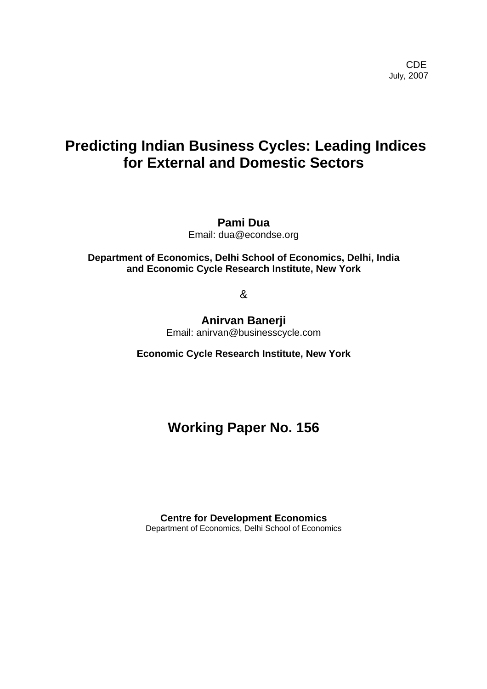# **Predicting Indian Business Cycles: Leading Indices for External and Domestic Sectors**

**Pami Dua**  Email: dua@econdse.org

**Department of Economics, Delhi School of Economics, Delhi, India and Economic Cycle Research Institute, New York** 

&

**Anirvan Banerji**  Email: anirvan@businesscycle.com

**Economic Cycle Research Institute, New York** 

# **Working Paper No. 156**

**Centre for Development Economics**  Department of Economics, Delhi School of Economics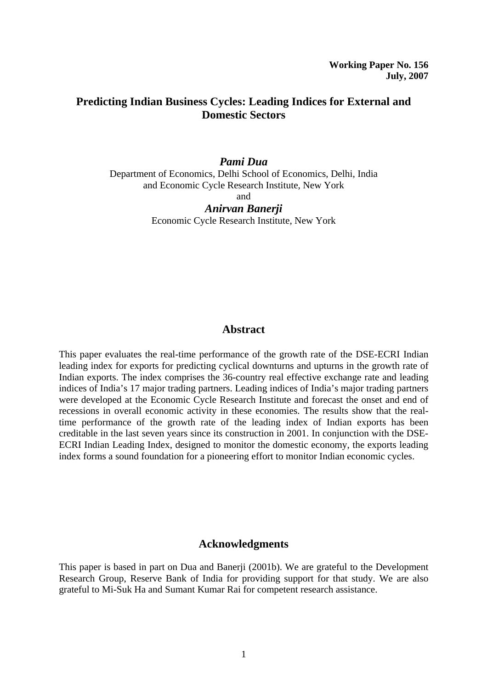## **Predicting Indian Business Cycles: Leading Indices for External and Domestic Sectors**

## *Pami Dua*

Department of Economics, Delhi School of Economics, Delhi, India and Economic Cycle Research Institute, New York

and

*Anirvan Banerji*  Economic Cycle Research Institute, New York

## **Abstract**

This paper evaluates the real-time performance of the growth rate of the DSE-ECRI Indian leading index for exports for predicting cyclical downturns and upturns in the growth rate of Indian exports. The index comprises the 36-country real effective exchange rate and leading indices of India's 17 major trading partners. Leading indices of India's major trading partners were developed at the Economic Cycle Research Institute and forecast the onset and end of recessions in overall economic activity in these economies. The results show that the realtime performance of the growth rate of the leading index of Indian exports has been creditable in the last seven years since its construction in 2001. In conjunction with the DSE-ECRI Indian Leading Index, designed to monitor the domestic economy, the exports leading index forms a sound foundation for a pioneering effort to monitor Indian economic cycles.

#### **Acknowledgments**

This paper is based in part on Dua and Banerji (2001b). We are grateful to the Development Research Group, Reserve Bank of India for providing support for that study. We are also grateful to Mi-Suk Ha and Sumant Kumar Rai for competent research assistance.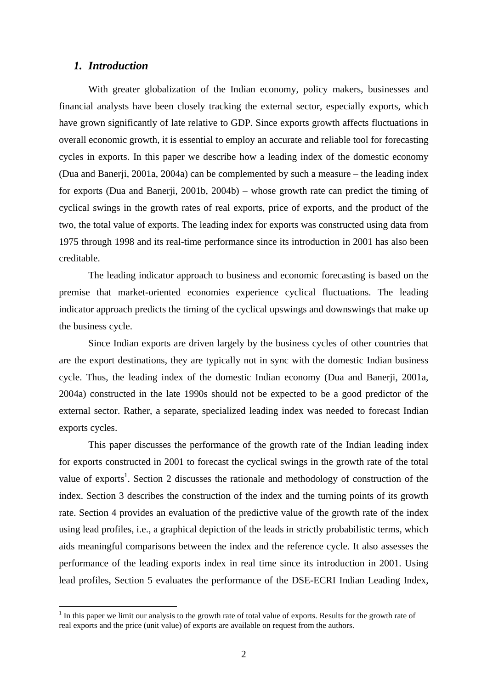#### *1. Introduction*

 $\overline{a}$ 

With greater globalization of the Indian economy, policy makers, businesses and financial analysts have been closely tracking the external sector, especially exports, which have grown significantly of late relative to GDP. Since exports growth affects fluctuations in overall economic growth, it is essential to employ an accurate and reliable tool for forecasting cycles in exports. In this paper we describe how a leading index of the domestic economy (Dua and Banerji, 2001a, 2004a) can be complemented by such a measure – the leading index for exports (Dua and Banerji, 2001b, 2004b) – whose growth rate can predict the timing of cyclical swings in the growth rates of real exports, price of exports, and the product of the two, the total value of exports. The leading index for exports was constructed using data from 1975 through 1998 and its real-time performance since its introduction in 2001 has also been creditable.

The leading indicator approach to business and economic forecasting is based on the premise that market-oriented economies experience cyclical fluctuations. The leading indicator approach predicts the timing of the cyclical upswings and downswings that make up the business cycle.

Since Indian exports are driven largely by the business cycles of other countries that are the export destinations, they are typically not in sync with the domestic Indian business cycle. Thus, the leading index of the domestic Indian economy (Dua and Banerji, 2001a, 2004a) constructed in the late 1990s should not be expected to be a good predictor of the external sector. Rather, a separate, specialized leading index was needed to forecast Indian exports cycles.

This paper discusses the performance of the growth rate of the Indian leading index for exports constructed in 2001 to forecast the cyclical swings in the growth rate of the total value of exports<sup>[1](#page-2-0)</sup>. Section 2 discusses the rationale and methodology of construction of the index. Section 3 describes the construction of the index and the turning points of its growth rate. Section 4 provides an evaluation of the predictive value of the growth rate of the index using lead profiles, i.e., a graphical depiction of the leads in strictly probabilistic terms, which aids meaningful comparisons between the index and the reference cycle. It also assesses the performance of the leading exports index in real time since its introduction in 2001. Using lead profiles, Section 5 evaluates the performance of the DSE-ECRI Indian Leading Index,

<span id="page-2-0"></span> $<sup>1</sup>$  In this paper we limit our analysis to the growth rate of total value of exports. Results for the growth rate of</sup> real exports and the price (unit value) of exports are available on request from the authors.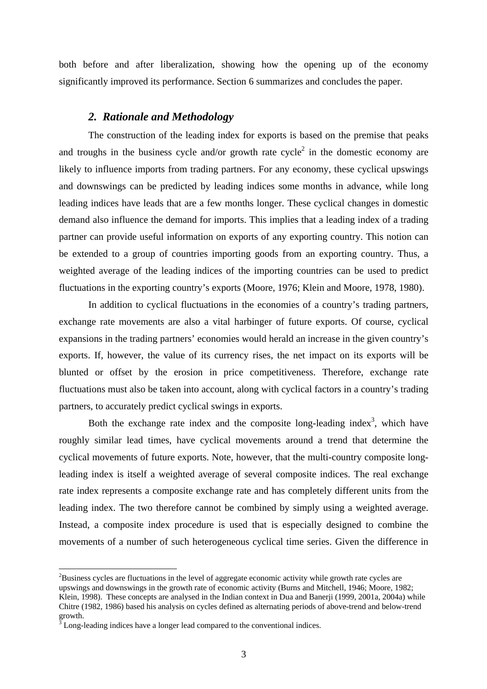both before and after liberalization, showing how the opening up of the economy significantly improved its performance. Section 6 summarizes and concludes the paper.

#### *2. Rationale and Methodology*

The construction of the leading index for exports is based on the premise that peaks and troughs in the business cycle and/or growth rate  $cycle<sup>2</sup>$  in the domestic economy are likely to influence imports from trading partners. For any economy, these cyclical upswings and downswings can be predicted by leading indices some months in advance, while long leading indices have leads that are a few months longer. These cyclical changes in domestic demand also influence the demand for imports. This implies that a leading index of a trading partner can provide useful information on exports of any exporting country. This notion can be extended to a group of countries importing goods from an exporting country. Thus, a weighted average of the leading indices of the importing countries can be used to predict fluctuations in the exporting country's exports (Moore, 1976; Klein and Moore, 1978, 1980).

In addition to cyclical fluctuations in the economies of a country's trading partners, exchange rate movements are also a vital harbinger of future exports. Of course, cyclical expansions in the trading partners' economies would herald an increase in the given country's exports. If, however, the value of its currency rises, the net impact on its exports will be blunted or offset by the erosion in price competitiveness. Therefore, exchange rate fluctuations must also be taken into account, along with cyclical factors in a country's trading partners, to accurately predict cyclical swings in exports.

Both the exchange rate index and the composite long-leading index<sup>[3](#page-3-1)</sup>, which have roughly similar lead times, have cyclical movements around a trend that determine the cyclical movements of future exports. Note, however, that the multi-country composite longleading index is itself a weighted average of several composite indices. The real exchange rate index represents a composite exchange rate and has completely different units from the leading index. The two therefore cannot be combined by simply using a weighted average. Instead, a composite index procedure is used that is especially designed to combine the movements of a number of such heterogeneous cyclical time series. Given the difference in

 $\overline{a}$ 

<span id="page-3-0"></span> $2<sup>2</sup>B$ usiness cycles are fluctuations in the level of aggregate economic activity while growth rate cycles are upswings and downswings in the growth rate of economic activity (Burns and Mitchell, 1946; Moore, 1982; Klein, 1998). These concepts are analysed in the Indian context in Dua and Banerji (1999, 2001a, 2004a) while Chitre (1982, 1986) based his analysis on cycles defined as alternating periods of above-trend and below-trend growth.  $\frac{3}{3}$  Long-leading indices have a longer lead compared to the conventional indices.

<span id="page-3-1"></span>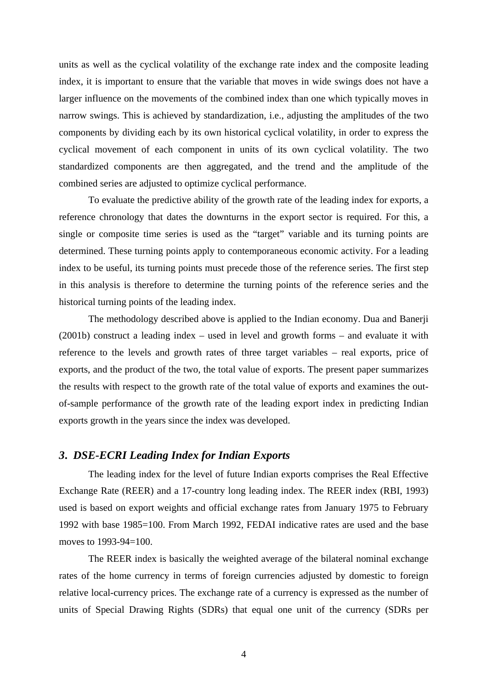units as well as the cyclical volatility of the exchange rate index and the composite leading index, it is important to ensure that the variable that moves in wide swings does not have a larger influence on the movements of the combined index than one which typically moves in narrow swings. This is achieved by standardization, i.e., adjusting the amplitudes of the two components by dividing each by its own historical cyclical volatility, in order to express the cyclical movement of each component in units of its own cyclical volatility. The two standardized components are then aggregated, and the trend and the amplitude of the combined series are adjusted to optimize cyclical performance.

To evaluate the predictive ability of the growth rate of the leading index for exports, a reference chronology that dates the downturns in the export sector is required. For this, a single or composite time series is used as the "target" variable and its turning points are determined. These turning points apply to contemporaneous economic activity. For a leading index to be useful, its turning points must precede those of the reference series. The first step in this analysis is therefore to determine the turning points of the reference series and the historical turning points of the leading index.

The methodology described above is applied to the Indian economy. Dua and Banerji (2001b) construct a leading index – used in level and growth forms – and evaluate it with reference to the levels and growth rates of three target variables – real exports, price of exports, and the product of the two, the total value of exports. The present paper summarizes the results with respect to the growth rate of the total value of exports and examines the outof-sample performance of the growth rate of the leading export index in predicting Indian exports growth in the years since the index was developed.

#### *3***.** *DSE-ECRI Leading Index for Indian Exports*

The leading index for the level of future Indian exports comprises the Real Effective Exchange Rate (REER) and a 17-country long leading index. The REER index (RBI, 1993) used is based on export weights and official exchange rates from January 1975 to February 1992 with base 1985=100. From March 1992, FEDAI indicative rates are used and the base moves to 1993-94=100.

The REER index is basically the weighted average of the bilateral nominal exchange rates of the home currency in terms of foreign currencies adjusted by domestic to foreign relative local-currency prices. The exchange rate of a currency is expressed as the number of units of Special Drawing Rights (SDRs) that equal one unit of the currency (SDRs per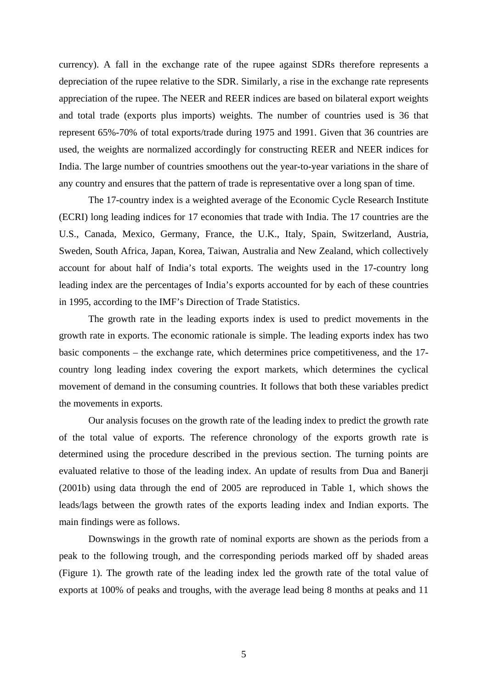currency). A fall in the exchange rate of the rupee against SDRs therefore represents a depreciation of the rupee relative to the SDR. Similarly, a rise in the exchange rate represents appreciation of the rupee. The NEER and REER indices are based on bilateral export weights and total trade (exports plus imports) weights. The number of countries used is 36 that represent 65%-70% of total exports/trade during 1975 and 1991. Given that 36 countries are used, the weights are normalized accordingly for constructing REER and NEER indices for India. The large number of countries smoothens out the year-to-year variations in the share of any country and ensures that the pattern of trade is representative over a long span of time.

The 17-country index is a weighted average of the Economic Cycle Research Institute (ECRI) long leading indices for 17 economies that trade with India. The 17 countries are the U.S., Canada, Mexico, Germany, France, the U.K., Italy, Spain, Switzerland, Austria, Sweden, South Africa, Japan, Korea, Taiwan, Australia and New Zealand, which collectively account for about half of India's total exports. The weights used in the 17-country long leading index are the percentages of India's exports accounted for by each of these countries in 1995, according to the IMF's Direction of Trade Statistics.

The growth rate in the leading exports index is used to predict movements in the growth rate in exports. The economic rationale is simple. The leading exports index has two basic components – the exchange rate, which determines price competitiveness, and the 17 country long leading index covering the export markets, which determines the cyclical movement of demand in the consuming countries. It follows that both these variables predict the movements in exports.

Our analysis focuses on the growth rate of the leading index to predict the growth rate of the total value of exports. The reference chronology of the exports growth rate is determined using the procedure described in the previous section. The turning points are evaluated relative to those of the leading index. An update of results from Dua and Banerji (2001b) using data through the end of 2005 are reproduced in Table 1, which shows the leads/lags between the growth rates of the exports leading index and Indian exports. The main findings were as follows.

Downswings in the growth rate of nominal exports are shown as the periods from a peak to the following trough, and the corresponding periods marked off by shaded areas (Figure 1). The growth rate of the leading index led the growth rate of the total value of exports at 100% of peaks and troughs, with the average lead being 8 months at peaks and 11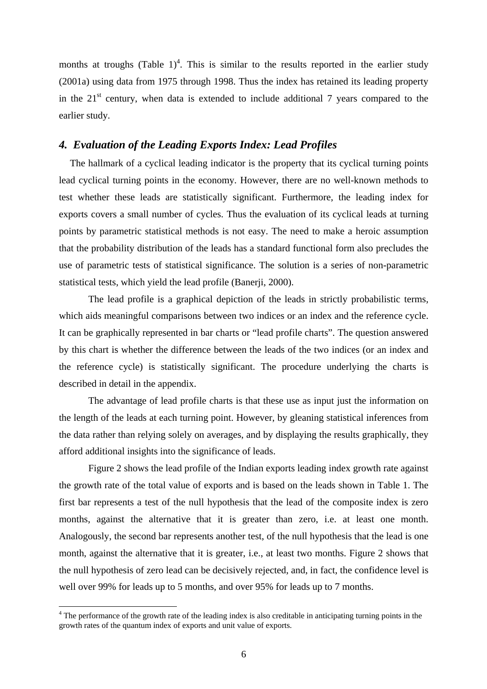months at troughs (Table  $1$ )<sup>[4](#page-6-0)</sup>. This is similar to the results reported in the earlier study (2001a) using data from 1975 through 1998. Thus the index has retained its leading property in the  $21<sup>st</sup>$  century, when data is extended to include additional 7 years compared to the earlier study.

## *4. Evaluation of the Leading Exports Index: Lead Profiles*

The hallmark of a cyclical leading indicator is the property that its cyclical turning points lead cyclical turning points in the economy. However, there are no well-known methods to test whether these leads are statistically significant. Furthermore, the leading index for exports covers a small number of cycles. Thus the evaluation of its cyclical leads at turning points by parametric statistical methods is not easy. The need to make a heroic assumption that the probability distribution of the leads has a standard functional form also precludes the use of parametric tests of statistical significance. The solution is a series of non-parametric statistical tests, which yield the lead profile (Banerji, 2000).

The lead profile is a graphical depiction of the leads in strictly probabilistic terms, which aids meaningful comparisons between two indices or an index and the reference cycle. It can be graphically represented in bar charts or "lead profile charts". The question answered by this chart is whether the difference between the leads of the two indices (or an index and the reference cycle) is statistically significant. The procedure underlying the charts is described in detail in the appendix.

The advantage of lead profile charts is that these use as input just the information on the length of the leads at each turning point. However, by gleaning statistical inferences from the data rather than relying solely on averages, and by displaying the results graphically, they afford additional insights into the significance of leads.

Figure 2 shows the lead profile of the Indian exports leading index growth rate against the growth rate of the total value of exports and is based on the leads shown in Table 1. The first bar represents a test of the null hypothesis that the lead of the composite index is zero months, against the alternative that it is greater than zero, i.e. at least one month. Analogously, the second bar represents another test, of the null hypothesis that the lead is one month, against the alternative that it is greater, i.e., at least two months. Figure 2 shows that the null hypothesis of zero lead can be decisively rejected, and, in fact, the confidence level is well over 99% for leads up to 5 months, and over 95% for leads up to 7 months.

 $\overline{a}$ 

<span id="page-6-0"></span><sup>&</sup>lt;sup>4</sup> The performance of the growth rate of the leading index is also creditable in anticipating turning points in the growth rates of the quantum index of exports and unit value of exports.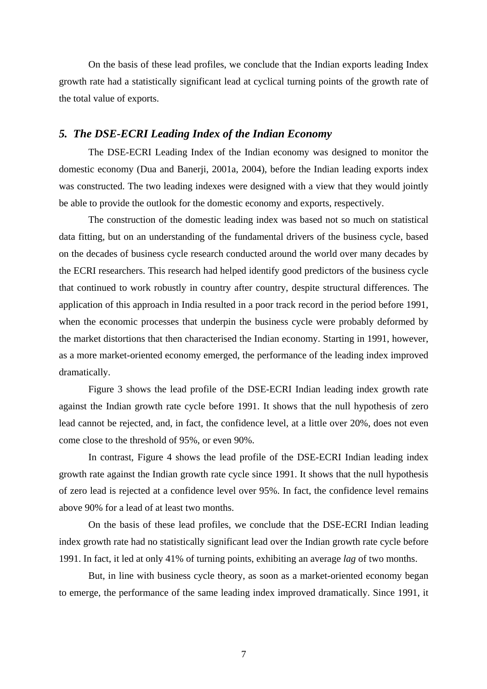On the basis of these lead profiles, we conclude that the Indian exports leading Index growth rate had a statistically significant lead at cyclical turning points of the growth rate of the total value of exports.

#### *5. The DSE-ECRI Leading Index of the Indian Economy*

The DSE-ECRI Leading Index of the Indian economy was designed to monitor the domestic economy (Dua and Banerji, 2001a, 2004), before the Indian leading exports index was constructed. The two leading indexes were designed with a view that they would jointly be able to provide the outlook for the domestic economy and exports, respectively.

The construction of the domestic leading index was based not so much on statistical data fitting, but on an understanding of the fundamental drivers of the business cycle, based on the decades of business cycle research conducted around the world over many decades by the ECRI researchers. This research had helped identify good predictors of the business cycle that continued to work robustly in country after country, despite structural differences. The application of this approach in India resulted in a poor track record in the period before 1991, when the economic processes that underpin the business cycle were probably deformed by the market distortions that then characterised the Indian economy. Starting in 1991, however, as a more market-oriented economy emerged, the performance of the leading index improved dramatically.

Figure 3 shows the lead profile of the DSE-ECRI Indian leading index growth rate against the Indian growth rate cycle before 1991. It shows that the null hypothesis of zero lead cannot be rejected, and, in fact, the confidence level, at a little over 20%, does not even come close to the threshold of 95%, or even 90%.

In contrast, Figure 4 shows the lead profile of the DSE-ECRI Indian leading index growth rate against the Indian growth rate cycle since 1991. It shows that the null hypothesis of zero lead is rejected at a confidence level over 95%. In fact, the confidence level remains above 90% for a lead of at least two months.

On the basis of these lead profiles, we conclude that the DSE-ECRI Indian leading index growth rate had no statistically significant lead over the Indian growth rate cycle before 1991. In fact, it led at only 41% of turning points, exhibiting an average *lag* of two months.

But, in line with business cycle theory, as soon as a market-oriented economy began to emerge, the performance of the same leading index improved dramatically. Since 1991, it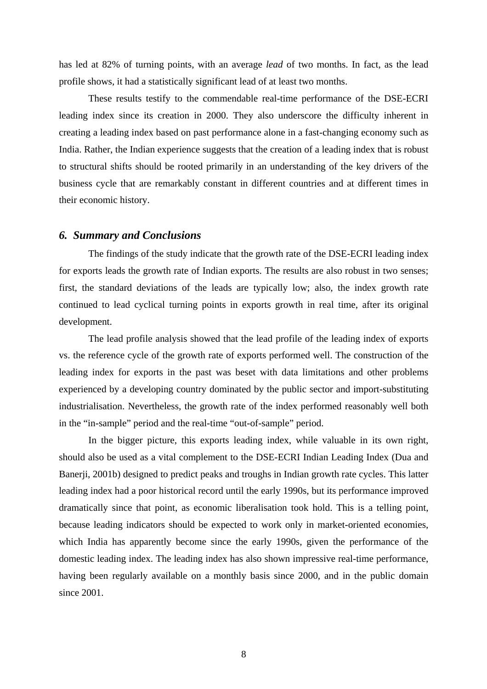has led at 82% of turning points, with an average *lead* of two months. In fact, as the lead profile shows, it had a statistically significant lead of at least two months.

These results testify to the commendable real-time performance of the DSE-ECRI leading index since its creation in 2000. They also underscore the difficulty inherent in creating a leading index based on past performance alone in a fast-changing economy such as India. Rather, the Indian experience suggests that the creation of a leading index that is robust to structural shifts should be rooted primarily in an understanding of the key drivers of the business cycle that are remarkably constant in different countries and at different times in their economic history.

#### *6. Summary and Conclusions*

The findings of the study indicate that the growth rate of the DSE-ECRI leading index for exports leads the growth rate of Indian exports. The results are also robust in two senses; first, the standard deviations of the leads are typically low; also, the index growth rate continued to lead cyclical turning points in exports growth in real time, after its original development.

The lead profile analysis showed that the lead profile of the leading index of exports vs. the reference cycle of the growth rate of exports performed well. The construction of the leading index for exports in the past was beset with data limitations and other problems experienced by a developing country dominated by the public sector and import-substituting industrialisation. Nevertheless, the growth rate of the index performed reasonably well both in the "in-sample" period and the real-time "out-of-sample" period.

In the bigger picture, this exports leading index, while valuable in its own right, should also be used as a vital complement to the DSE-ECRI Indian Leading Index (Dua and Banerji, 2001b) designed to predict peaks and troughs in Indian growth rate cycles. This latter leading index had a poor historical record until the early 1990s, but its performance improved dramatically since that point, as economic liberalisation took hold. This is a telling point, because leading indicators should be expected to work only in market-oriented economies, which India has apparently become since the early 1990s, given the performance of the domestic leading index. The leading index has also shown impressive real-time performance, having been regularly available on a monthly basis since 2000, and in the public domain since 2001.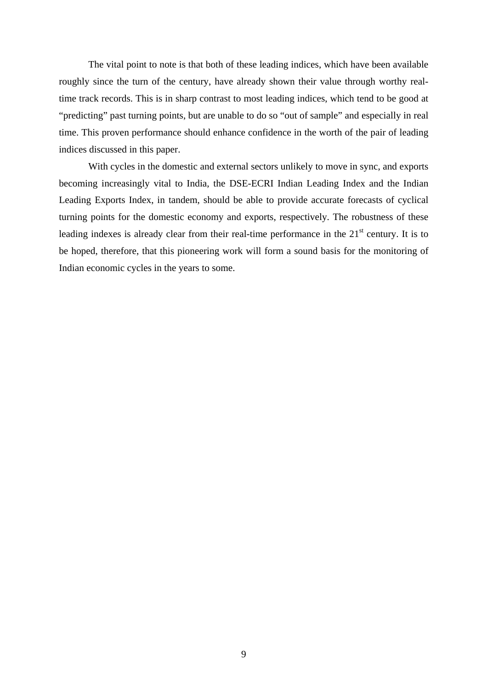The vital point to note is that both of these leading indices, which have been available roughly since the turn of the century, have already shown their value through worthy realtime track records. This is in sharp contrast to most leading indices, which tend to be good at "predicting" past turning points, but are unable to do so "out of sample" and especially in real time. This proven performance should enhance confidence in the worth of the pair of leading indices discussed in this paper.

With cycles in the domestic and external sectors unlikely to move in sync, and exports becoming increasingly vital to India, the DSE-ECRI Indian Leading Index and the Indian Leading Exports Index, in tandem, should be able to provide accurate forecasts of cyclical turning points for the domestic economy and exports, respectively. The robustness of these leading indexes is already clear from their real-time performance in the  $21<sup>st</sup>$  century. It is to be hoped, therefore, that this pioneering work will form a sound basis for the monitoring of Indian economic cycles in the years to some.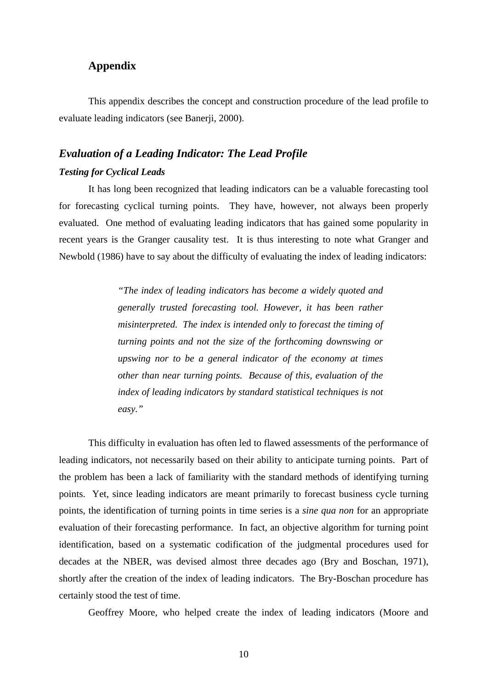## **Appendix**

This appendix describes the concept and construction procedure of the lead profile to evaluate leading indicators (see Banerji, 2000).

# *Evaluation of a Leading Indicator: The Lead Profile Testing for Cyclical Leads*

It has long been recognized that leading indicators can be a valuable forecasting tool for forecasting cyclical turning points. They have, however, not always been properly evaluated. One method of evaluating leading indicators that has gained some popularity in recent years is the Granger causality test. It is thus interesting to note what Granger and Newbold (1986) have to say about the difficulty of evaluating the index of leading indicators:

> *"The index of leading indicators has become a widely quoted and generally trusted forecasting tool. However, it has been rather misinterpreted. The index is intended only to forecast the timing of turning points and not the size of the forthcoming downswing or upswing nor to be a general indicator of the economy at times other than near turning points. Because of this, evaluation of the index of leading indicators by standard statistical techniques is not easy."*

This difficulty in evaluation has often led to flawed assessments of the performance of leading indicators, not necessarily based on their ability to anticipate turning points. Part of the problem has been a lack of familiarity with the standard methods of identifying turning points. Yet, since leading indicators are meant primarily to forecast business cycle turning points, the identification of turning points in time series is a *sine qua non* for an appropriate evaluation of their forecasting performance. In fact, an objective algorithm for turning point identification, based on a systematic codification of the judgmental procedures used for decades at the NBER, was devised almost three decades ago (Bry and Boschan, 1971), shortly after the creation of the index of leading indicators. The Bry-Boschan procedure has certainly stood the test of time.

Geoffrey Moore, who helped create the index of leading indicators (Moore and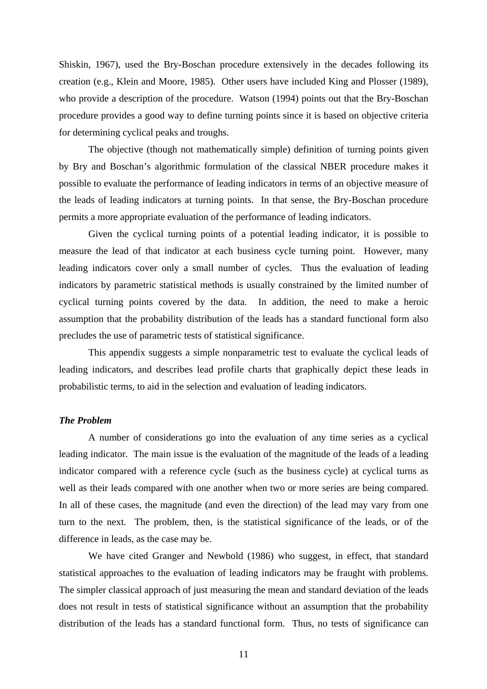Shiskin, 1967), used the Bry-Boschan procedure extensively in the decades following its creation (e.g., Klein and Moore, 1985). Other users have included King and Plosser (1989), who provide a description of the procedure. Watson (1994) points out that the Bry-Boschan procedure provides a good way to define turning points since it is based on objective criteria for determining cyclical peaks and troughs.

The objective (though not mathematically simple) definition of turning points given by Bry and Boschan's algorithmic formulation of the classical NBER procedure makes it possible to evaluate the performance of leading indicators in terms of an objective measure of the leads of leading indicators at turning points. In that sense, the Bry-Boschan procedure permits a more appropriate evaluation of the performance of leading indicators.

Given the cyclical turning points of a potential leading indicator, it is possible to measure the lead of that indicator at each business cycle turning point. However, many leading indicators cover only a small number of cycles. Thus the evaluation of leading indicators by parametric statistical methods is usually constrained by the limited number of cyclical turning points covered by the data. In addition, the need to make a heroic assumption that the probability distribution of the leads has a standard functional form also precludes the use of parametric tests of statistical significance.

This appendix suggests a simple nonparametric test to evaluate the cyclical leads of leading indicators, and describes lead profile charts that graphically depict these leads in probabilistic terms, to aid in the selection and evaluation of leading indicators.

#### *The Problem*

A number of considerations go into the evaluation of any time series as a cyclical leading indicator. The main issue is the evaluation of the magnitude of the leads of a leading indicator compared with a reference cycle (such as the business cycle) at cyclical turns as well as their leads compared with one another when two or more series are being compared. In all of these cases, the magnitude (and even the direction) of the lead may vary from one turn to the next. The problem, then, is the statistical significance of the leads, or of the difference in leads, as the case may be.

We have cited Granger and Newbold (1986) who suggest, in effect, that standard statistical approaches to the evaluation of leading indicators may be fraught with problems. The simpler classical approach of just measuring the mean and standard deviation of the leads does not result in tests of statistical significance without an assumption that the probability distribution of the leads has a standard functional form. Thus, no tests of significance can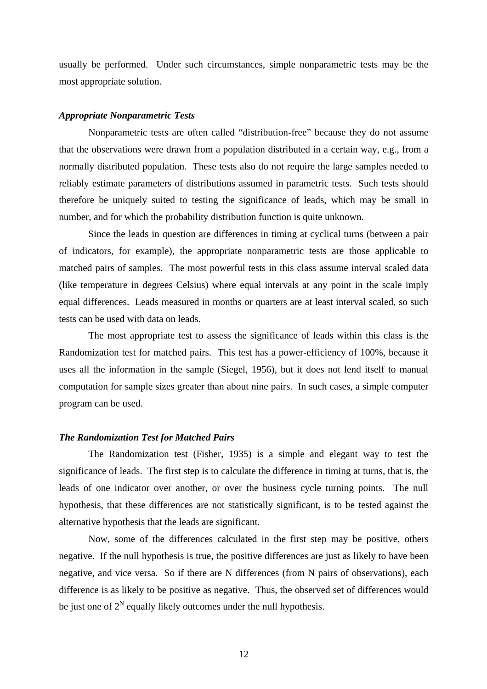usually be performed. Under such circumstances, simple nonparametric tests may be the most appropriate solution.

#### *Appropriate Nonparametric Tests*

Nonparametric tests are often called "distribution-free" because they do not assume that the observations were drawn from a population distributed in a certain way, e.g., from a normally distributed population. These tests also do not require the large samples needed to reliably estimate parameters of distributions assumed in parametric tests. Such tests should therefore be uniquely suited to testing the significance of leads, which may be small in number, and for which the probability distribution function is quite unknown.

Since the leads in question are differences in timing at cyclical turns (between a pair of indicators, for example), the appropriate nonparametric tests are those applicable to matched pairs of samples. The most powerful tests in this class assume interval scaled data (like temperature in degrees Celsius) where equal intervals at any point in the scale imply equal differences. Leads measured in months or quarters are at least interval scaled, so such tests can be used with data on leads.

The most appropriate test to assess the significance of leads within this class is the Randomization test for matched pairs. This test has a power-efficiency of 100%, because it uses all the information in the sample (Siegel, 1956), but it does not lend itself to manual computation for sample sizes greater than about nine pairs. In such cases, a simple computer program can be used.

#### *The Randomization Test for Matched Pairs*

The Randomization test (Fisher, 1935) is a simple and elegant way to test the significance of leads. The first step is to calculate the difference in timing at turns, that is, the leads of one indicator over another, or over the business cycle turning points. The null hypothesis, that these differences are not statistically significant, is to be tested against the alternative hypothesis that the leads are significant.

Now, some of the differences calculated in the first step may be positive, others negative. If the null hypothesis is true, the positive differences are just as likely to have been negative, and vice versa. So if there are N differences (from N pairs of observations), each difference is as likely to be positive as negative. Thus, the observed set of differences would be just one of  $2^N$  equally likely outcomes under the null hypothesis.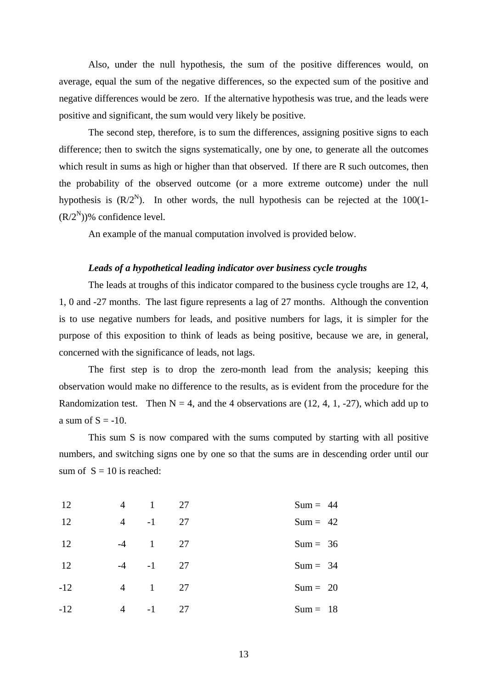Also, under the null hypothesis, the sum of the positive differences would, on average, equal the sum of the negative differences, so the expected sum of the positive and negative differences would be zero. If the alternative hypothesis was true, and the leads were positive and significant, the sum would very likely be positive.

The second step, therefore, is to sum the differences, assigning positive signs to each difference; then to switch the signs systematically, one by one, to generate all the outcomes which result in sums as high or higher than that observed. If there are R such outcomes, then the probability of the observed outcome (or a more extreme outcome) under the null hypothesis is  $(R/2^N)$ . In other words, the null hypothesis can be rejected at the 100(1- $(R/2^N)$ % confidence level.

An example of the manual computation involved is provided below.

#### *Leads of a hypothetical leading indicator over business cycle troughs*

The leads at troughs of this indicator compared to the business cycle troughs are 12, 4, 1, 0 and -27 months. The last figure represents a lag of 27 months. Although the convention is to use negative numbers for leads, and positive numbers for lags, it is simpler for the purpose of this exposition to think of leads as being positive, because we are, in general, concerned with the significance of leads, not lags.

The first step is to drop the zero-month lead from the analysis; keeping this observation would make no difference to the results, as is evident from the procedure for the Randomization test. Then  $N = 4$ , and the 4 observations are (12, 4, 1, -27), which add up to a sum of  $S = -10$ .

This sum S is now compared with the sums computed by starting with all positive numbers, and switching signs one by one so that the sums are in descending order until our sum of  $S = 10$  is reached:

| $Sum = 44$ | 27           | $\mathbf{1}$   | 4              | 12    |
|------------|--------------|----------------|----------------|-------|
| $Sum = 42$ | 27           | $-1$           | 4              | 12    |
| $Sum = 36$ | 27           | $\overline{1}$ | $-4$           | 12    |
| $Sum = 34$ | $-4$ $-1$ 27 |                |                | 12    |
| $Sum = 20$ | 27           | $\overline{1}$ | $\overline{4}$ | $-12$ |
| $Sum = 18$ | 27           | $-1$           | $\overline{4}$ | $-12$ |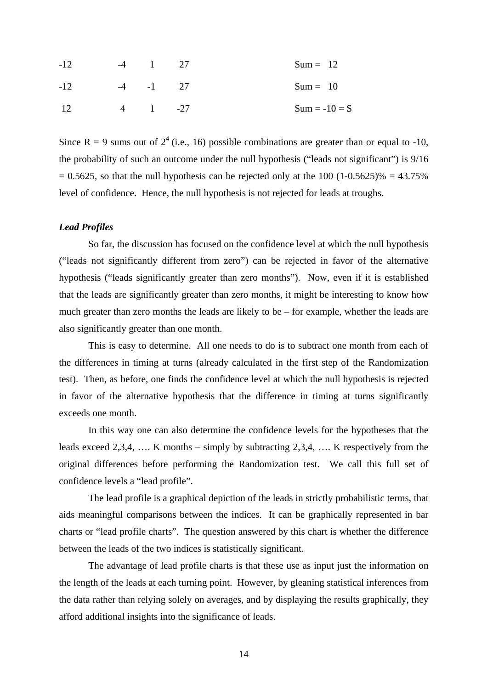| $-12$ | $-4$ 1             | 27 | $Sum = 12$      |
|-------|--------------------|----|-----------------|
| $-12$ | $-4$ $-1$ 27       |    | $Sum = 10$      |
| -12   | $\frac{4}{1}$ - 27 |    | $Sum = -10 = S$ |

Since R = 9 sums out of  $2^4$  (i.e., 16) possible combinations are greater than or equal to -10, the probability of such an outcome under the null hypothesis ("leads not significant") is 9/16  $= 0.5625$ , so that the null hypothesis can be rejected only at the 100 (1-0.5625)% = 43.75% level of confidence. Hence, the null hypothesis is not rejected for leads at troughs.

#### *Lead Profiles*

So far, the discussion has focused on the confidence level at which the null hypothesis ("leads not significantly different from zero") can be rejected in favor of the alternative hypothesis ("leads significantly greater than zero months"). Now, even if it is established that the leads are significantly greater than zero months, it might be interesting to know how much greater than zero months the leads are likely to be – for example, whether the leads are also significantly greater than one month.

This is easy to determine. All one needs to do is to subtract one month from each of the differences in timing at turns (already calculated in the first step of the Randomization test). Then, as before, one finds the confidence level at which the null hypothesis is rejected in favor of the alternative hypothesis that the difference in timing at turns significantly exceeds one month.

In this way one can also determine the confidence levels for the hypotheses that the leads exceed 2,3,4, …. K months – simply by subtracting 2,3,4, …. K respectively from the original differences before performing the Randomization test. We call this full set of confidence levels a "lead profile".

The lead profile is a graphical depiction of the leads in strictly probabilistic terms, that aids meaningful comparisons between the indices. It can be graphically represented in bar charts or "lead profile charts". The question answered by this chart is whether the difference between the leads of the two indices is statistically significant.

The advantage of lead profile charts is that these use as input just the information on the length of the leads at each turning point. However, by gleaning statistical inferences from the data rather than relying solely on averages, and by displaying the results graphically, they afford additional insights into the significance of leads.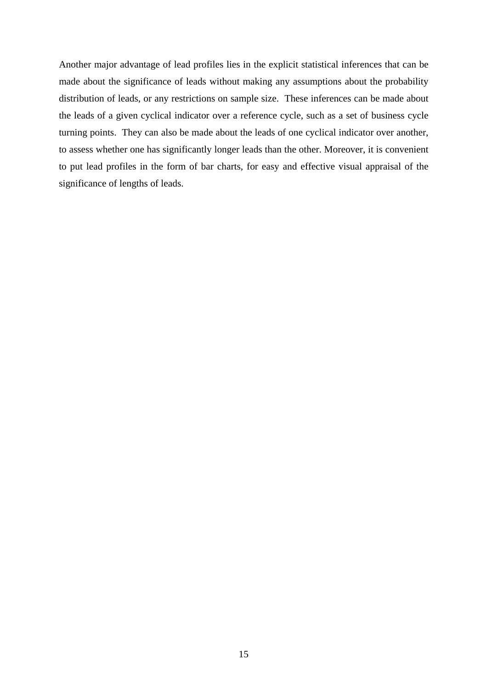Another major advantage of lead profiles lies in the explicit statistical inferences that can be made about the significance of leads without making any assumptions about the probability distribution of leads, or any restrictions on sample size. These inferences can be made about the leads of a given cyclical indicator over a reference cycle, such as a set of business cycle turning points. They can also be made about the leads of one cyclical indicator over another, to assess whether one has significantly longer leads than the other. Moreover, it is convenient to put lead profiles in the form of bar charts, for easy and effective visual appraisal of the significance of lengths of leads.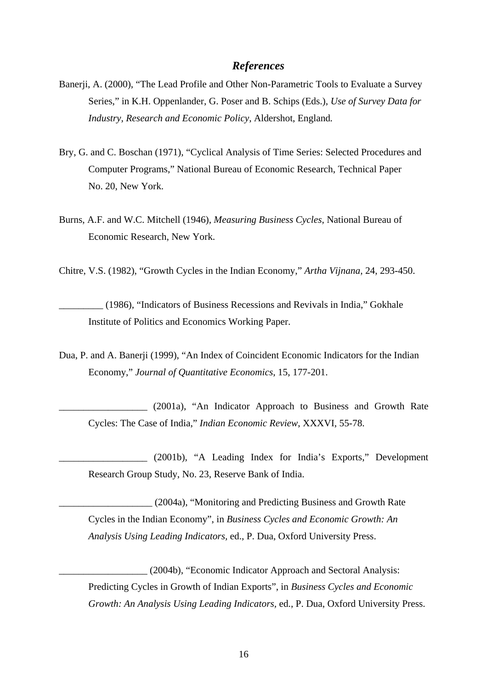### *References*

- Banerji, A. (2000), "The Lead Profile and Other Non-Parametric Tools to Evaluate a Survey Series," in K.H. Oppenlander, G. Poser and B. Schips (Eds.), *Use of Survey Data for Industry, Research and Economic Policy,* Aldershot, England*.*
- Bry, G. and C. Boschan (1971), "Cyclical Analysis of Time Series: Selected Procedures and Computer Programs," National Bureau of Economic Research, Technical Paper No. 20, New York.
- Burns, A.F. and W.C. Mitchell (1946), *Measuring Business Cycles*, National Bureau of Economic Research, New York.

Chitre, V.S. (1982), "Growth Cycles in the Indian Economy," *Artha Vijnana*, 24, 293-450.

\_\_\_\_\_\_\_\_\_ (1986), "Indicators of Business Recessions and Revivals in India," Gokhale Institute of Politics and Economics Working Paper.

Dua, P. and A. Banerji (1999), "An Index of Coincident Economic Indicators for the Indian Economy," *Journal of Quantitative Economics*, 15, 177-201.

\_\_\_\_\_\_\_\_\_\_\_\_\_\_\_\_\_\_ (2001a), "An Indicator Approach to Business and Growth Rate Cycles: The Case of India," *Indian Economic Review*, XXXVI, 55-78.

\_\_\_\_\_\_\_\_\_\_\_\_\_\_\_\_\_\_ (2001b), "A Leading Index for India's Exports," Development Research Group Study, No. 23, Reserve Bank of India.

\_\_\_\_\_\_\_\_\_\_\_\_\_\_\_\_\_\_\_ (2004a), "Monitoring and Predicting Business and Growth Rate Cycles in the Indian Economy", in *Business Cycles and Economic Growth: An Analysis Using Leading Indicators,* ed., P. Dua, Oxford University Press.

\_\_\_\_\_\_\_\_\_\_\_\_\_\_\_\_\_\_ (2004b), "Economic Indicator Approach and Sectoral Analysis: Predicting Cycles in Growth of Indian Exports", in *Business Cycles and Economic Growth: An Analysis Using Leading Indicators,* ed., P. Dua, Oxford University Press.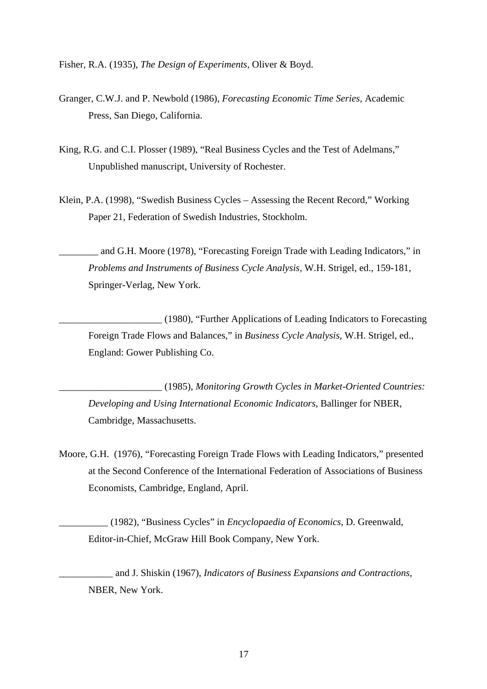Fisher, R.A. (1935), *The Design of Experiments,* Oliver & Boyd.

- Granger, C.W.J. and P. Newbold (1986), *Forecasting Economic Time Series,* Academic Press, San Diego, California.
- King, R.G. and C.I. Plosser (1989), "Real Business Cycles and the Test of Adelmans," Unpublished manuscript, University of Rochester.
- Klein, P.A. (1998), "Swedish Business Cycles Assessing the Recent Record," Working Paper 21, Federation of Swedish Industries, Stockholm.

and G.H. Moore (1978), "Forecasting Foreign Trade with Leading Indicators," in *Problems and Instruments of Business Cycle Analysis,* W.H. Strigel, ed., 159-181, Springer-Verlag, New York.

\_\_\_\_\_\_\_\_\_\_\_\_\_\_\_\_\_\_\_\_\_ (1980), "Further Applications of Leading Indicators to Forecasting Foreign Trade Flows and Balances," in *Business Cycle Analysis,* W.H. Strigel, ed., England: Gower Publishing Co.

\_\_\_\_\_\_\_\_\_\_\_\_\_\_\_\_\_\_\_\_\_ (1985), *Monitoring Growth Cycles in Market-Oriented Countries: Developing and Using International Economic Indicators*, Ballinger for NBER, Cambridge, Massachusetts.

Moore, G.H. (1976), "Forecasting Foreign Trade Flows with Leading Indicators," presented at the Second Conference of the International Federation of Associations of Business Economists, Cambridge, England, April.

\_\_\_\_\_\_\_\_\_\_ (1982), "Business Cycles" in *Encyclopaedia of Economics,* D. Greenwald, Editor-in-Chief, McGraw Hill Book Company, New York.

\_\_\_\_\_\_\_\_\_\_\_ and J. Shiskin (1967), *Indicators of Business Expansions and Contractions*, NBER, New York.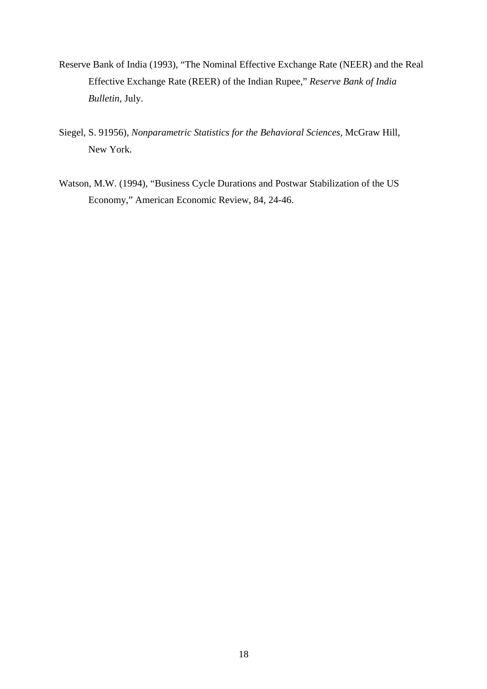- Reserve Bank of India (1993), "The Nominal Effective Exchange Rate (NEER) and the Real Effective Exchange Rate (REER) of the Indian Rupee," *Reserve Bank of India Bulletin,* July.
- Siegel, S. 91956), *Nonparametric Statistics for the Behavioral Sciences,* McGraw Hill, New York.
- Watson, M.W. (1994), "Business Cycle Durations and Postwar Stabilization of the US Economy," American Economic Review, 84, 24-46.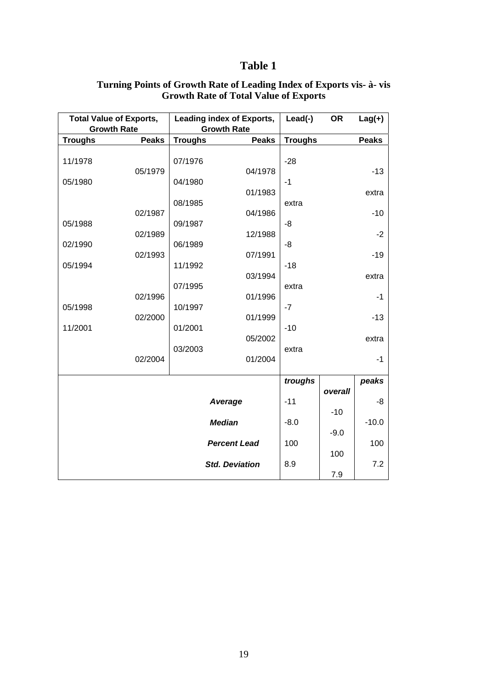## **Table 1**

| <b>Total Value of Exports,</b><br><b>Growth Rate</b> |              | Leading index of Exports,<br><b>Growth Rate</b> |                     | Lead(-)         | <b>OR</b> | $Lag(+)$      |
|------------------------------------------------------|--------------|-------------------------------------------------|---------------------|-----------------|-----------|---------------|
| <b>Troughs</b>                                       | <b>Peaks</b> | <b>Troughs</b>                                  | <b>Peaks</b>        | <b>Troughs</b>  |           | <b>Peaks</b>  |
| 11/1978                                              | 05/1979      | 07/1976                                         | 04/1978             | $-28$           |           | $-13$         |
| 05/1980                                              |              | 04/1980                                         | 01/1983             | $-1$            |           | extra         |
| 05/1988                                              | 02/1987      | 08/1985<br>09/1987                              | 04/1986             | extra<br>-8     |           | $-10$         |
| 02/1990                                              | 02/1989      | 06/1989                                         | 12/1988             | -8              |           | $-2$          |
| 05/1994                                              | 02/1993      | 11/1992                                         | 07/1991             | $-18$           |           | $-19$         |
|                                                      | 02/1996      | 07/1995                                         | 03/1994<br>01/1996  | extra           |           | extra<br>$-1$ |
| 05/1998                                              | 02/2000      | 10/1997                                         | 01/1999             | $-7$            |           | $-13$         |
| 11/2001                                              |              | 01/2001<br>03/2003                              | 05/2002             | $-10$<br>extra  |           | extra         |
|                                                      | 02/2004      |                                                 | 01/2004             |                 |           | $-1$          |
|                                                      |              |                                                 |                     | troughs         |           | peaks         |
|                                                      |              |                                                 | Average             | $-11$           | overall   | -8            |
| <b>Median</b>                                        |              |                                                 | $-8.0$              | $-10$<br>$-9.0$ | $-10.0$   |               |
|                                                      |              |                                                 | <b>Percent Lead</b> | 100             | 100       | 100           |
| <b>Std. Deviation</b>                                |              |                                                 |                     | 8.9             | 7.9       | 7.2           |

## **Turning Points of Growth Rate of Leading Index of Exports vis- à- vis Growth Rate of Total Value of Exports**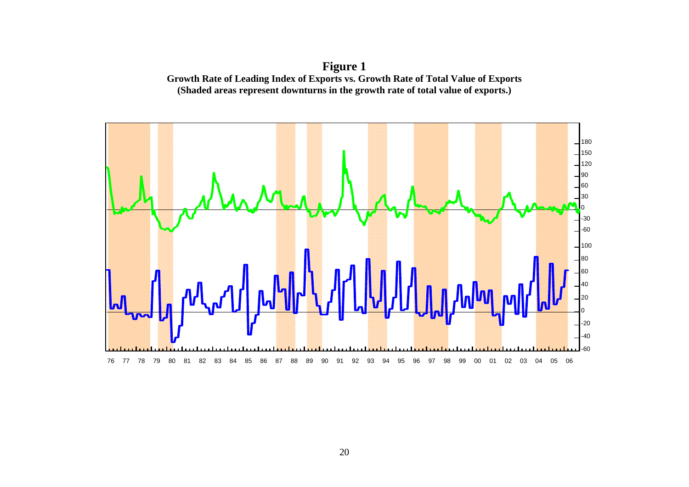**Figure 1 Growth Rate of Leading Index of Exports vs. Growth Rate of Total Value of Exports (Shaded areas represent downturns in the growth rate of total value of exports.)** 

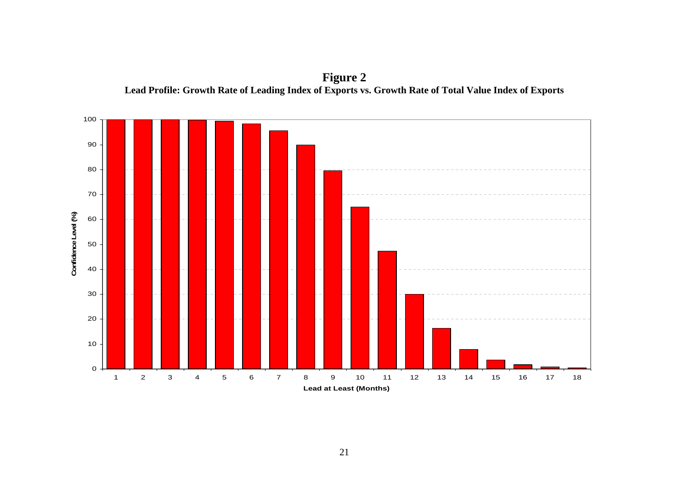

**Figure 2 Lead Profile: Growth Rate of Leading Index of Exports vs. Growth Rate of Total Value Index of Exports**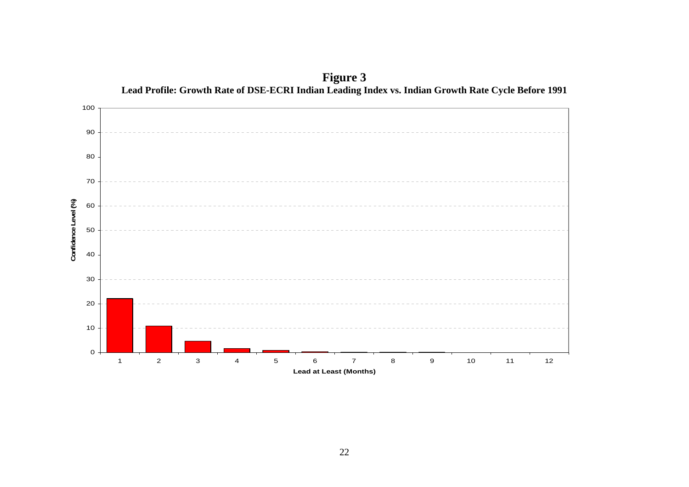

**Figure 3**